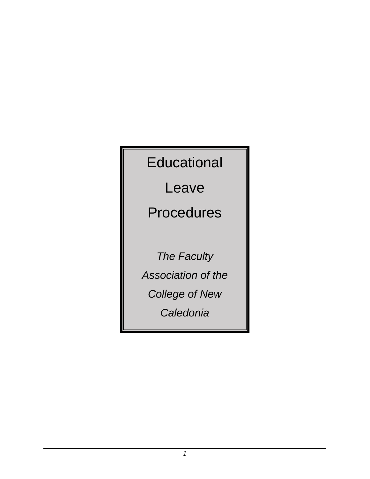**Educational** 

Leave

Procedures

*The Faculty Association of the College of New* 

*Caledonia*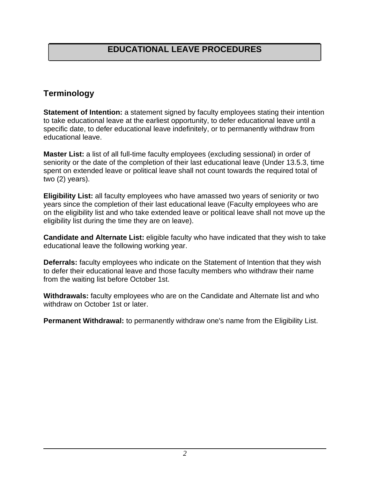# **Terminology**

**Statement of Intention:** a statement signed by faculty employees stating their intention to take educational leave at the earliest opportunity, to defer educational leave until a specific date, to defer educational leave indefinitely, or to permanently withdraw from educational leave.

**Master List:** a list of all full-time faculty employees (excluding sessional) in order of seniority or the date of the completion of their last educational leave (Under 13.5.3, time spent on extended leave or political leave shall not count towards the required total of two (2) years).

**Eligibility List:** all faculty employees who have amassed two years of seniority or two years since the completion of their last educational leave (Faculty employees who are on the eligibility list and who take extended leave or political leave shall not move up the eligibility list during the time they are on leave).

**Candidate and Alternate List:** eligible faculty who have indicated that they wish to take educational leave the following working year.

**Deferrals:** faculty employees who indicate on the Statement of Intention that they wish to defer their educational leave and those faculty members who withdraw their name from the waiting list before October 1st.

**Withdrawals:** faculty employees who are on the Candidate and Alternate list and who withdraw on October 1st or later.

**Permanent Withdrawal:** to permanently withdraw one's name from the Eligibility List.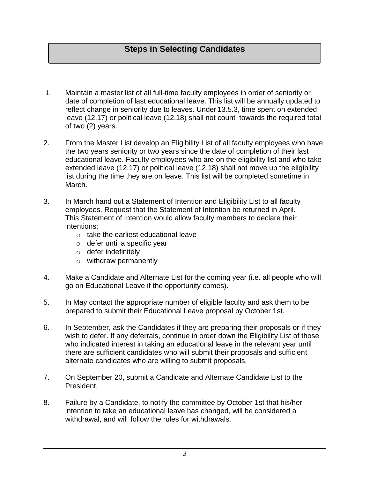## **Steps in Selecting Candidates**

- 1. Maintain a master list of all full-time faculty employees in order of seniority or date of completion of last educational leave. This list will be annually updated to reflect change in seniority due to leaves. Under 13.5.3, time spent on extended leave (12.17) or political leave (12.18) shall not count towards the required total of two (2) years.
- 2. From the Master List develop an Eligibility List of all faculty employees who have the two years seniority or two years since the date of completion of their last educational leave. Faculty employees who are on the eligibility list and who take extended leave (12.17) or political leave (12.18) shall not move up the eligibility list during the time they are on leave. This list will be completed sometime in March.
- 3. In March hand out a Statement of Intention and Eligibility List to all faculty employees. Request that the Statement of Intention be returned in April. This Statement of Intention would allow faculty members to declare their intentions:
	- $\circ$  take the earliest educational leave
	- o defer until a specific year
	- o defer indefinitely
	- o withdraw permanently
- 4. Make a Candidate and Alternate List for the coming year (i.e. all people who will go on Educational Leave if the opportunity comes).
- 5. In May contact the appropriate number of eligible faculty and ask them to be prepared to submit their Educational Leave proposal by October 1st.
- 6. In September, ask the Candidates if they are preparing their proposals or if they wish to defer. If any deferrals, continue in order down the Eligibility List of those who indicated interest in taking an educational leave in the relevant year until there are sufficient candidates who will submit their proposals and sufficient alternate candidates who are willing to submit proposals.
- 7. On September 20, submit a Candidate and Alternate Candidate List to the President.
- 8. Failure by a Candidate, to notify the committee by October 1st that his/her intention to take an educational leave has changed, will be considered a withdrawal, and will follow the rules for withdrawals.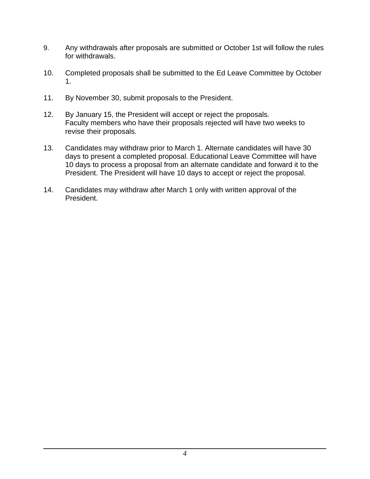- 9. Any withdrawals after proposals are submitted or October 1st will follow the rules for withdrawals.
- 10. Completed proposals shall be submitted to the Ed Leave Committee by October 1.
- 11. By November 30, submit proposals to the President.
- 12. By January 15, the President will accept or reject the proposals. Faculty members who have their proposals rejected will have two weeks to revise their proposals.
- 13. Candidates may withdraw prior to March 1. Alternate candidates will have 30 days to present a completed proposal. Educational Leave Committee will have 10 days to process a proposal from an alternate candidate and forward it to the President. The President will have 10 days to accept or reject the proposal.
- 14. Candidates may withdraw after March 1 only with written approval of the President.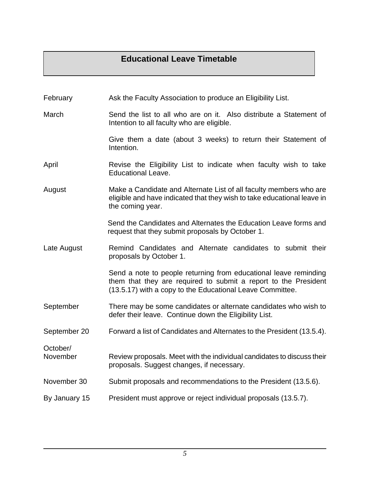### **Educational Leave Timetable**

- February Ask the Faculty Association to produce an Eligibility List.
- March Send the list to all who are on it. Also distribute a Statement of Intention to all faculty who are eligible.

Give them a date (about 3 weeks) to return their Statement of Intention.

- April **Revise the Eligibility List to indicate when faculty wish to take** Educational Leave.
- August Make a Candidate and Alternate List of all faculty members who are eligible and have indicated that they wish to take educational leave in the coming year.

Send the Candidates and Alternates the Education Leave forms and request that they submit proposals by October 1.

Late August **Remind Candidates and Alternate candidates to submit their** proposals by October 1.

> Send a note to people returning from educational leave reminding them that they are required to submit a report to the President (13.5.17) with a copy to the Educational Leave Committee.

- September There may be some candidates or alternate candidates who wish to defer their leave. Continue down the Eligibility List.
- September 20 Forward a list of Candidates and Alternates to the President (13.5.4).

November Review proposals. Meet with the individual candidates to discuss their proposals. Suggest changes, if necessary.

- November 30 Submit proposals and recommendations to the President (13.5.6).
- By January 15 President must approve or reject individual proposals (13.5.7).

October/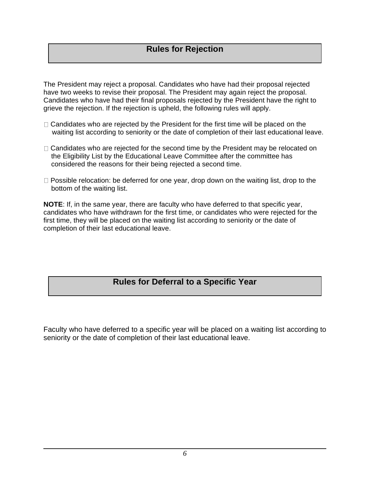#### **Rules for Rejection**

The President may reject a proposal. Candidates who have had their proposal rejected have two weeks to revise their proposal. The President may again reject the proposal. Candidates who have had their final proposals rejected by the President have the right to grieve the rejection. If the rejection is upheld, the following rules will apply.

- $\Box$  Candidates who are rejected by the President for the first time will be placed on the waiting list according to seniority or the date of completion of their last educational leave.
- $\Box$  Candidates who are rejected for the second time by the President may be relocated on the Eligibility List by the Educational Leave Committee after the committee has considered the reasons for their being rejected a second time.
- $\Box$  Possible relocation: be deferred for one year, drop down on the waiting list, drop to the bottom of the waiting list.

**NOTE**: If, in the same year, there are faculty who have deferred to that specific year, candidates who have withdrawn for the first time, or candidates who were rejected for the first time, they will be placed on the waiting list according to seniority or the date of completion of their last educational leave.

#### **Rules for Deferral to a Specific Year**

Faculty who have deferred to a specific year will be placed on a waiting list according to seniority or the date of completion of their last educational leave.